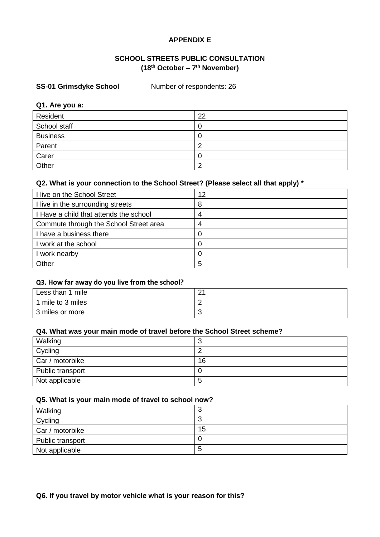## **APPENDIX E**

## **SCHOOL STREETS PUBLIC CONSULTATION (18th October – 7 th November)**

### **SS-01 Grimsdyke School Number of respondents: 26**

#### **Q1. Are you a:**

| Resident        | 22 |
|-----------------|----|
| School staff    |    |
| <b>Business</b> |    |
| Parent          |    |
| Carer           |    |
| Other           |    |

### **Q2. What is your connection to the School Street? (Please select all that apply) \***

| I live on the School Street            | 12 |
|----------------------------------------|----|
| I live in the surrounding streets      | 8  |
| I Have a child that attends the school |    |
| Commute through the School Street area | 4  |
| I have a business there                | O  |
| work at the school                     |    |
| work nearby                            | ∩  |
| Other                                  | 5  |

### **Q3. How far away do you live from the school?**

| Less than 1 mile  | $\sim$<br><u>.</u> |
|-------------------|--------------------|
| 1 mile to 3 miles |                    |
| 3 miles or more   | ◡                  |

### **Q4. What was your main mode of travel before the School Street scheme?**

| Walking          | u  |
|------------------|----|
| Cycling          |    |
| Car / motorbike  | 16 |
| Public transport |    |
| Not applicable   | 5  |

### **Q5. What is your main mode of travel to school now?**

| Walking          |        |
|------------------|--------|
| Cycling          | c<br>J |
| Car / motorbike  | 15     |
| Public transport |        |
| Not applicable   | C      |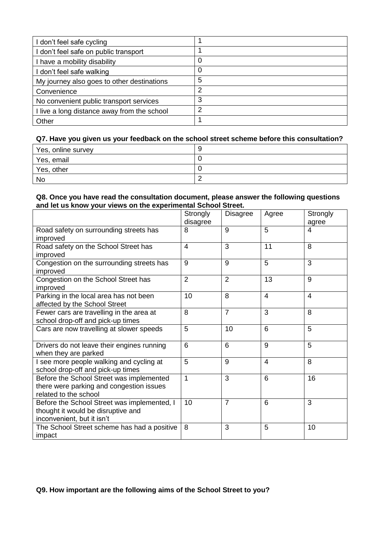| don't feel safe cycling                    |   |
|--------------------------------------------|---|
| don't feel safe on public transport        |   |
| have a mobility disability                 |   |
| don't feel safe walking                    | 0 |
| My journey also goes to other destinations | 5 |
| Convenience                                | າ |
| No convenient public transport services    | 3 |
| live a long distance away from the school  |   |
| Other                                      |   |

| Yes, online survey | ч |
|--------------------|---|
| Yes, email         |   |
| Yes, other         |   |
| No                 |   |

### **Q8. Once you have read the consultation document, please answer the following questions and let us know your views on the experimental School Street.**

|                                                                                                                 | Strongly<br>disagree | <b>Disagree</b> | Agree          | Strongly<br>agree |
|-----------------------------------------------------------------------------------------------------------------|----------------------|-----------------|----------------|-------------------|
| Road safety on surrounding streets has<br>improved                                                              | 8                    | 9               | 5              | 4                 |
| Road safety on the School Street has<br>improved                                                                | $\overline{4}$       | 3               | 11             | 8                 |
| Congestion on the surrounding streets has<br>improved                                                           | 9                    | 9               | 5              | 3                 |
| Congestion on the School Street has<br>improved                                                                 | $\overline{2}$       | 2               | 13             | 9                 |
| Parking in the local area has not been<br>affected by the School Street                                         | 10                   | 8               | $\overline{4}$ | $\overline{4}$    |
| Fewer cars are travelling in the area at<br>school drop-off and pick-up times                                   | 8                    | $\overline{7}$  | 3              | 8                 |
| Cars are now travelling at slower speeds                                                                        | 5                    | 10              | 6              | 5                 |
| Drivers do not leave their engines running<br>when they are parked                                              | 6                    | 6               | 9              | 5                 |
| I see more people walking and cycling at<br>school drop-off and pick-up times                                   | 5                    | 9               | $\overline{4}$ | 8                 |
| Before the School Street was implemented<br>there were parking and congestion issues<br>related to the school   | $\overline{1}$       | 3               | 6              | 16                |
| Before the School Street was implemented, I<br>thought it would be disruptive and<br>inconvenient, but it isn't | 10                   | $\overline{7}$  | 6              | 3                 |
| The School Street scheme has had a positive<br>impact                                                           | 8                    | 3               | 5              | 10                |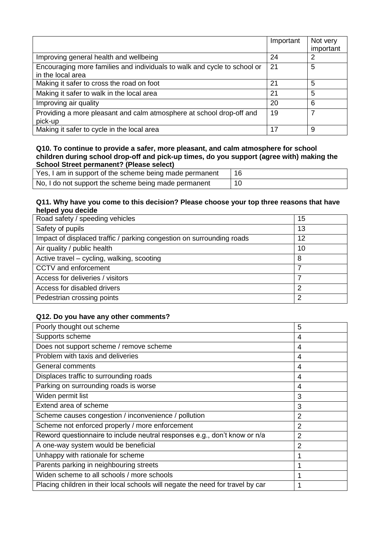|                                                                          | Important | Not very  |
|--------------------------------------------------------------------------|-----------|-----------|
|                                                                          |           | important |
| Improving general health and wellbeing                                   | 24        | 2         |
| Encouraging more families and individuals to walk and cycle to school or | 21        | 5         |
| in the local area                                                        |           |           |
| Making it safer to cross the road on foot                                | 21        | 5         |
| Making it safer to walk in the local area                                | 21        | 5         |
| Improving air quality                                                    | 20        | 6         |
| Providing a more pleasant and calm atmosphere at school drop-off and     | 19        |           |
| pick-up                                                                  |           |           |
| Making it safer to cycle in the local area                               | 17        | 9         |

| Yes, I am in support of the scheme being made permanent |  |
|---------------------------------------------------------|--|
| No, I do not support the scheme being made permanent    |  |

## **Q11. Why have you come to this decision? Please choose your top three reasons that have helped you decide**

| Road safety / speeding vehicles                                       | 15 |
|-----------------------------------------------------------------------|----|
| Safety of pupils                                                      | 13 |
| Impact of displaced traffic / parking congestion on surrounding roads | 12 |
| Air quality / public health                                           | 10 |
| Active travel - cycling, walking, scooting                            | 8  |
| CCTV and enforcement                                                  |    |
| Access for deliveries / visitors                                      |    |
| Access for disabled drivers                                           | っ  |
| Pedestrian crossing points                                            | っ  |

| Poorly thought out scheme                                                      | 5              |
|--------------------------------------------------------------------------------|----------------|
| Supports scheme                                                                | 4              |
| Does not support scheme / remove scheme                                        | 4              |
| Problem with taxis and deliveries                                              | 4              |
| General comments                                                               | 4              |
| Displaces traffic to surrounding roads                                         | 4              |
| Parking on surrounding roads is worse                                          | 4              |
| Widen permit list                                                              | 3              |
| Extend area of scheme                                                          | 3              |
| Scheme causes congestion / inconvenience / pollution                           | 2              |
| Scheme not enforced properly / more enforcement                                | $\overline{2}$ |
| Reword questionnaire to include neutral responses e.g., don't know or n/a      | $\overline{2}$ |
| A one-way system would be beneficial                                           | 2              |
| Unhappy with rationale for scheme                                              |                |
| Parents parking in neighbouring streets                                        |                |
| Widen scheme to all schools / more schools                                     |                |
| Placing children in their local schools will negate the need for travel by car |                |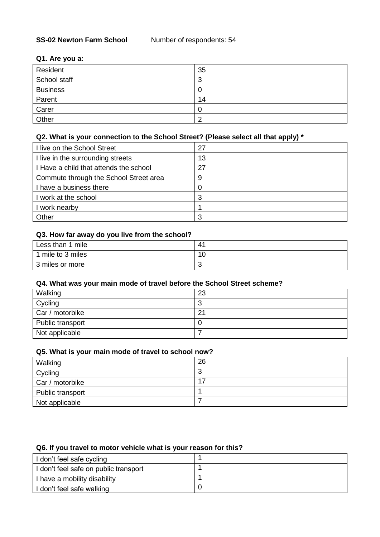### **Q1. Are you a:**

| Resident        | 35                            |
|-----------------|-------------------------------|
| School staff    | o<br>$\overline{\phantom{a}}$ |
| <b>Business</b> |                               |
| Parent          | 14                            |
| Carer           | -O                            |
| Other           |                               |

# **Q2. What is your connection to the School Street? (Please select all that apply) \***

| I live on the School Street            | 27 |
|----------------------------------------|----|
| I live in the surrounding streets      | 13 |
| I Have a child that attends the school | 27 |
| Commute through the School Street area | 9  |
| I have a business there                | 0  |
| I work at the school                   | 3  |
| work nearby                            |    |
| Other                                  | ີ  |

### **Q3. How far away do you live from the school?**

| Less than 1 mile  | 41 |
|-------------------|----|
| 1 mile to 3 miles | 10 |
| 3 miles or more   | u  |

## **Q4. What was your main mode of travel before the School Street scheme?**

| Walking          | 23     |
|------------------|--------|
| Cycling          | c<br>w |
| Car / motorbike  | 21     |
| Public transport | U      |
| Not applicable   |        |

### **Q5. What is your main mode of travel to school now?**

| Walking          | 26     |
|------------------|--------|
| Cycling          | ⌒<br>J |
| Car / motorbike  | 17     |
| Public transport |        |
| Not applicable   |        |

### **Q6. If you travel to motor vehicle what is your reason for this?**

| I don't feel safe cycling             |  |
|---------------------------------------|--|
| I don't feel safe on public transport |  |
| I have a mobility disability          |  |
| I don't feel safe walking             |  |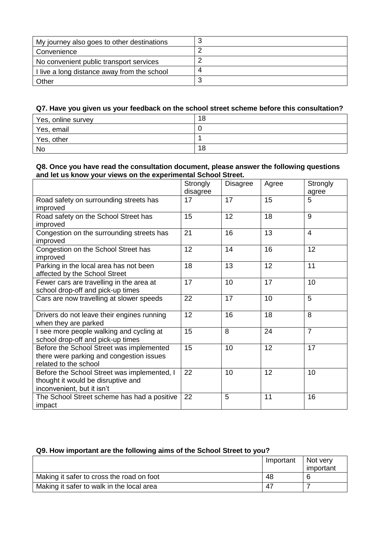| My journey also goes to other destinations  |   |
|---------------------------------------------|---|
| Convenience                                 |   |
| No convenient public transport services     |   |
| I live a long distance away from the school | 4 |
| Other                                       | n |

| Yes, online survey | 18 |
|--------------------|----|
| Yes, email         |    |
| Yes, other         |    |
| No                 | 18 |

### **Q8. Once you have read the consultation document, please answer the following questions and let us know your views on the experimental School Street.**

|                                                                                                                 | Strongly<br>disagree | <b>Disagree</b> | Agree | Strongly<br>agree |
|-----------------------------------------------------------------------------------------------------------------|----------------------|-----------------|-------|-------------------|
| Road safety on surrounding streets has<br>improved                                                              | 17                   | 17              | 15    | 5                 |
| Road safety on the School Street has<br>improved                                                                | 15                   | 12              | 18    | 9                 |
| Congestion on the surrounding streets has<br>improved                                                           | 21                   | 16              | 13    | $\overline{4}$    |
| Congestion on the School Street has<br>improved                                                                 | 12                   | 14              | 16    | 12                |
| Parking in the local area has not been<br>affected by the School Street                                         | 18                   | 13              | 12    | 11                |
| Fewer cars are travelling in the area at<br>school drop-off and pick-up times                                   | 17                   | 10              | 17    | 10                |
| Cars are now travelling at slower speeds                                                                        | 22                   | 17              | 10    | 5                 |
| Drivers do not leave their engines running<br>when they are parked                                              | 12                   | 16              | 18    | 8                 |
| I see more people walking and cycling at<br>school drop-off and pick-up times                                   | 15                   | 8               | 24    | $\overline{7}$    |
| Before the School Street was implemented<br>there were parking and congestion issues<br>related to the school   | 15                   | 10              | 12    | 17                |
| Before the School Street was implemented, I<br>thought it would be disruptive and<br>inconvenient, but it isn't | 22                   | 10              | 12    | 10                |
| The School Street scheme has had a positive<br>impact                                                           | 22                   | 5               | 11    | 16                |

## **Q9. How important are the following aims of the School Street to you?**

|                                           | Important | Not very  |
|-------------------------------------------|-----------|-----------|
|                                           |           | important |
| Making it safer to cross the road on foot | 48        |           |
| Making it safer to walk in the local area | 47        |           |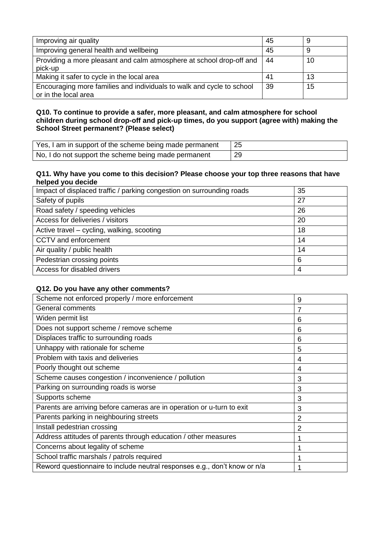| Improving air quality                                                           | 45 | 9  |
|---------------------------------------------------------------------------------|----|----|
| Improving general health and wellbeing                                          | 45 | 9  |
| Providing a more pleasant and calm atmosphere at school drop-off and<br>pick-up | 44 | 10 |
| Making it safer to cycle in the local area                                      | 41 | 13 |
| Encouraging more families and individuals to walk and cycle to school           | 39 | 15 |
| or in the local area                                                            |    |    |

| Yes, I am in support of the scheme being made permanent | -25 |
|---------------------------------------------------------|-----|
| No, I do not support the scheme being made permanent    | 29  |

### **Q11. Why have you come to this decision? Please choose your top three reasons that have helped you decide**

| Impact of displaced traffic / parking congestion on surrounding roads | 35 |
|-----------------------------------------------------------------------|----|
| Safety of pupils                                                      | 27 |
| Road safety / speeding vehicles                                       | 26 |
| Access for deliveries / visitors                                      | 20 |
| Active travel – cycling, walking, scooting                            | 18 |
| CCTV and enforcement                                                  | 14 |
| Air quality / public health                                           | 14 |
| Pedestrian crossing points                                            | 6  |
| Access for disabled drivers                                           | 4  |

| Scheme not enforced properly / more enforcement                           | 9 |
|---------------------------------------------------------------------------|---|
| General comments                                                          | 7 |
| Widen permit list                                                         | 6 |
| Does not support scheme / remove scheme                                   | 6 |
| Displaces traffic to surrounding roads                                    | 6 |
| Unhappy with rationale for scheme                                         | 5 |
| Problem with taxis and deliveries                                         | 4 |
| Poorly thought out scheme                                                 | 4 |
| Scheme causes congestion / inconvenience / pollution                      | 3 |
| Parking on surrounding roads is worse                                     | 3 |
| Supports scheme                                                           | 3 |
| Parents are arriving before cameras are in operation or u-turn to exit    | 3 |
| Parents parking in neighbouring streets                                   | 2 |
| Install pedestrian crossing                                               | 2 |
| Address attitudes of parents through education / other measures           |   |
| Concerns about legality of scheme                                         |   |
| School traffic marshals / patrols required                                |   |
| Reword questionnaire to include neutral responses e.g., don't know or n/a |   |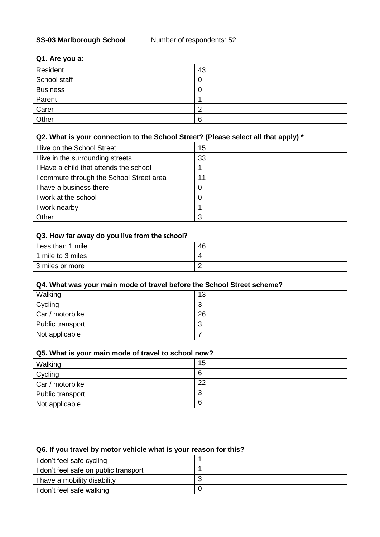## **SS-03 Marlborough School** Number of respondents: 52

### **Q1. Are you a:**

| Resident        | 43 |
|-----------------|----|
| School staff    | U  |
| <b>Business</b> |    |
| Parent          |    |
| Carer           |    |
| Other           | 6  |

# **Q2. What is your connection to the School Street? (Please select all that apply) \***

| I live on the School Street            | 15 |
|----------------------------------------|----|
| I live in the surrounding streets      | 33 |
| I Have a child that attends the school |    |
| commute through the School Street area | 11 |
| I have a business there                |    |
| I work at the school                   |    |
| work nearby                            |    |
| Other                                  | -2 |

# **Q3. How far away do you live from the school?**

| Less than 1 mile  | 46 |
|-------------------|----|
| 1 mile to 3 miles | 4  |
| 3 miles or more   |    |

# **Q4. What was your main mode of travel before the School Street scheme?**

| Walking          | 13 |
|------------------|----|
| Cycling          | v  |
| Car / motorbike  | 26 |
| Public transport | w  |
| Not applicable   |    |

# **Q5. What is your main mode of travel to school now?**

| Walking          | 15     |
|------------------|--------|
| Cycling          | 6      |
| Car / motorbike  | 22     |
| Public transport | n<br>J |
| Not applicable   | 6      |

## **Q6. If you travel by motor vehicle what is your reason for this?**

| I don't feel safe cycling             |  |
|---------------------------------------|--|
| I don't feel safe on public transport |  |
| I have a mobility disability          |  |
| I don't feel safe walking             |  |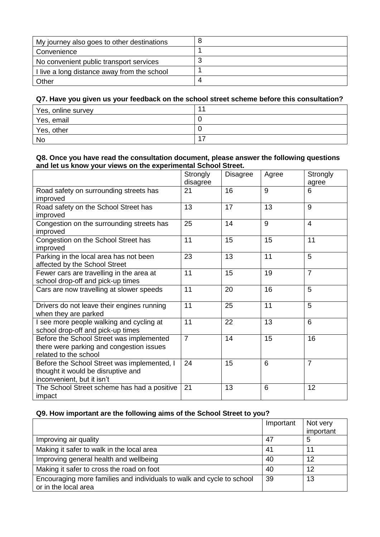| My journey also goes to other destinations  |  |
|---------------------------------------------|--|
| Convenience                                 |  |
| No convenient public transport services     |  |
| I live a long distance away from the school |  |
| Other                                       |  |

| Yes, online survey |  |
|--------------------|--|
| Yes, email         |  |
| Yes, other         |  |
| <b>No</b>          |  |

### **Q8. Once you have read the consultation document, please answer the following questions and let us know your views on the experimental School Street.**

|                                                                                                                 | Strongly<br>disagree | <b>Disagree</b> | Agree | Strongly<br>agree |
|-----------------------------------------------------------------------------------------------------------------|----------------------|-----------------|-------|-------------------|
| Road safety on surrounding streets has<br>improved                                                              | 21                   | 16              | 9     | 6                 |
| Road safety on the School Street has<br>improved                                                                | 13                   | 17              | 13    | $\overline{9}$    |
| Congestion on the surrounding streets has<br>improved                                                           | 25                   | 14              | 9     | $\overline{4}$    |
| Congestion on the School Street has<br>improved                                                                 | 11                   | 15              | 15    | 11                |
| Parking in the local area has not been<br>affected by the School Street                                         | 23                   | 13              | 11    | $\overline{5}$    |
| Fewer cars are travelling in the area at<br>school drop-off and pick-up times                                   | 11                   | 15              | 19    | $\overline{7}$    |
| Cars are now travelling at slower speeds                                                                        | 11                   | 20              | 16    | 5                 |
| Drivers do not leave their engines running<br>when they are parked                                              | 11                   | 25              | 11    | $\overline{5}$    |
| I see more people walking and cycling at<br>school drop-off and pick-up times                                   | 11                   | 22              | 13    | 6                 |
| Before the School Street was implemented<br>there were parking and congestion issues<br>related to the school   | $\overline{7}$       | 14              | 15    | 16                |
| Before the School Street was implemented, I<br>thought it would be disruptive and<br>inconvenient, but it isn't | 24                   | 15              | 6     | $\overline{7}$    |
| The School Street scheme has had a positive<br>impact                                                           | 21                   | 13              | 6     | 12                |

### **Q9. How important are the following aims of the School Street to you?**

|                                                                                               | Important | Not very<br>important |
|-----------------------------------------------------------------------------------------------|-----------|-----------------------|
| Improving air quality                                                                         | 47        | 5                     |
| Making it safer to walk in the local area                                                     | 41        | 11                    |
| Improving general health and wellbeing                                                        | 40        | 12                    |
| Making it safer to cross the road on foot                                                     | 40        | 12                    |
| Encouraging more families and individuals to walk and cycle to school<br>or in the local area | 39        | 13                    |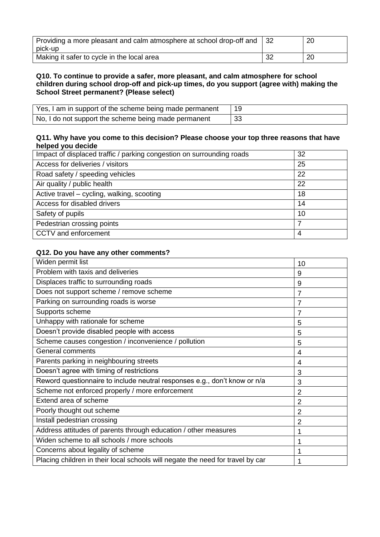| Providing a more pleasant and calm atmosphere at school drop-off and |    | 20 |
|----------------------------------------------------------------------|----|----|
| pick-up                                                              |    |    |
| Making it safer to cycle in the local area                           | 32 | 20 |

| Yes, I am in support of the scheme being made permanent |     |
|---------------------------------------------------------|-----|
| No, I do not support the scheme being made permanent    | -33 |

### **Q11. Why have you come to this decision? Please choose your top three reasons that have helped you decide**

| Impact of displaced traffic / parking congestion on surrounding roads | 32 |
|-----------------------------------------------------------------------|----|
| Access for deliveries / visitors                                      | 25 |
| Road safety / speeding vehicles                                       | 22 |
| Air quality / public health                                           | 22 |
| Active travel – cycling, walking, scooting                            | 18 |
| Access for disabled drivers                                           | 14 |
| Safety of pupils                                                      | 10 |
| Pedestrian crossing points                                            | 7  |
| CCTV and enforcement                                                  | 4  |

| Widen permit list                                                              | 10 |
|--------------------------------------------------------------------------------|----|
| Problem with taxis and deliveries                                              | 9  |
| Displaces traffic to surrounding roads                                         | 9  |
| Does not support scheme / remove scheme                                        | 7  |
| Parking on surrounding roads is worse                                          | 7  |
| Supports scheme                                                                |    |
| Unhappy with rationale for scheme                                              | 5  |
| Doesn't provide disabled people with access                                    | 5  |
| Scheme causes congestion / inconvenience / pollution                           | 5  |
| <b>General comments</b>                                                        | 4  |
| Parents parking in neighbouring streets                                        | 4  |
| Doesn't agree with timing of restrictions                                      | 3  |
| Reword questionnaire to include neutral responses e.g., don't know or n/a      | 3  |
| Scheme not enforced properly / more enforcement                                | 2  |
| Extend area of scheme                                                          | 2  |
| Poorly thought out scheme                                                      | 2  |
| Install pedestrian crossing                                                    | 2  |
| Address attitudes of parents through education / other measures                |    |
| Widen scheme to all schools / more schools                                     |    |
| Concerns about legality of scheme                                              |    |
| Placing children in their local schools will negate the need for travel by car |    |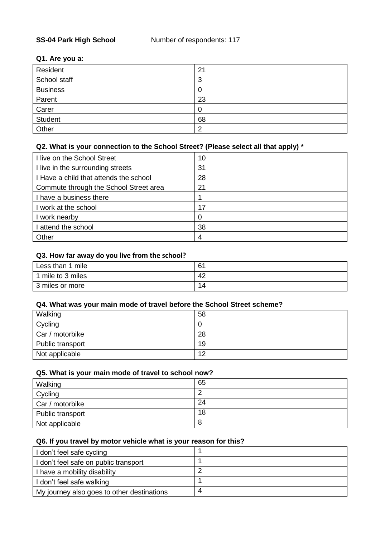### **Q1. Are you a:**

| Resident        | 21 |
|-----------------|----|
| School staff    | 3  |
| <b>Business</b> |    |
| Parent          | 23 |
| Carer           |    |
| <b>Student</b>  | 68 |
| Other           | റ  |

# **Q2. What is your connection to the School Street? (Please select all that apply) \***

| I live on the School Street            | 10 |
|----------------------------------------|----|
| I live in the surrounding streets      | 31 |
| I Have a child that attends the school | 28 |
| Commute through the School Street area | 21 |
| I have a business there                |    |
| I work at the school                   | 17 |
| work nearby                            | O  |
| attend the school                      | 38 |
| Other                                  | 4  |

## **Q3. How far away do you live from the school?**

| Less than 1 mile  | 61 |
|-------------------|----|
| 1 mile to 3 miles | 42 |
| 3 miles or more   | 14 |

### **Q4. What was your main mode of travel before the School Street scheme?**

| Walking          | 58 |
|------------------|----|
| Cycling          | υ  |
| Car / motorbike  | 28 |
| Public transport | 19 |
| Not applicable   | 12 |

### **Q5. What is your main mode of travel to school now?**

| Walking          | 65 |
|------------------|----|
| Cycling          |    |
| Car / motorbike  | 24 |
| Public transport | 18 |
| Not applicable   | Ο  |

### **Q6. If you travel by motor vehicle what is your reason for this?**

| I don't feel safe cycling                  |   |
|--------------------------------------------|---|
| I don't feel safe on public transport      |   |
| I have a mobility disability               |   |
| I don't feel safe walking                  |   |
| My journey also goes to other destinations | 4 |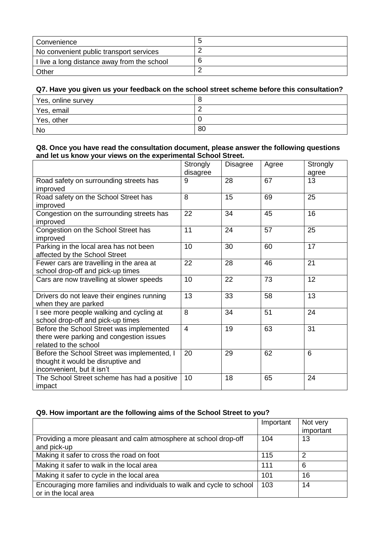| l Convenience                               |  |
|---------------------------------------------|--|
| No convenient public transport services     |  |
| I live a long distance away from the school |  |
| Other                                       |  |

| Yes, online survey | ◡  |
|--------------------|----|
| Yes, email         |    |
| Yes, other         |    |
| No                 | 80 |

### **Q8. Once you have read the consultation document, please answer the following questions and let us know your views on the experimental School Street.**

|                                                                                                                 | Strongly<br>disagree | <b>Disagree</b> | Agree | Strongly<br>agree |
|-----------------------------------------------------------------------------------------------------------------|----------------------|-----------------|-------|-------------------|
| Road safety on surrounding streets has<br>improved                                                              | 9                    | 28              | 67    | 13                |
| Road safety on the School Street has<br>improved                                                                | 8                    | 15              | 69    | 25                |
| Congestion on the surrounding streets has<br>improved                                                           | 22                   | 34              | 45    | 16                |
| Congestion on the School Street has<br>improved                                                                 | 11                   | 24              | 57    | 25                |
| Parking in the local area has not been<br>affected by the School Street                                         | 10                   | 30              | 60    | 17                |
| Fewer cars are travelling in the area at<br>school drop-off and pick-up times                                   | 22                   | 28              | 46    | 21                |
| Cars are now travelling at slower speeds                                                                        | 10                   | 22              | 73    | 12                |
| Drivers do not leave their engines running<br>when they are parked                                              | 13                   | 33              | 58    | 13                |
| I see more people walking and cycling at<br>school drop-off and pick-up times                                   | 8                    | 34              | 51    | 24                |
| Before the School Street was implemented<br>there were parking and congestion issues<br>related to the school   | $\overline{4}$       | 19              | 63    | 31                |
| Before the School Street was implemented, I<br>thought it would be disruptive and<br>inconvenient, but it isn't | 20                   | 29              | 62    | $6\phantom{1}6$   |
| The School Street scheme has had a positive<br>impact                                                           | 10                   | 18              | 65    | 24                |

# **Q9. How important are the following aims of the School Street to you?**

|                                                                                               | Important | Not very  |
|-----------------------------------------------------------------------------------------------|-----------|-----------|
|                                                                                               |           | important |
| Providing a more pleasant and calm atmosphere at school drop-off                              | 104       | 13        |
| and pick-up                                                                                   |           |           |
| Making it safer to cross the road on foot                                                     | 115       | 2         |
| Making it safer to walk in the local area                                                     | 111       | 6         |
| Making it safer to cycle in the local area                                                    | 101       | 16        |
| Encouraging more families and individuals to walk and cycle to school<br>or in the local area | 103       | 14        |